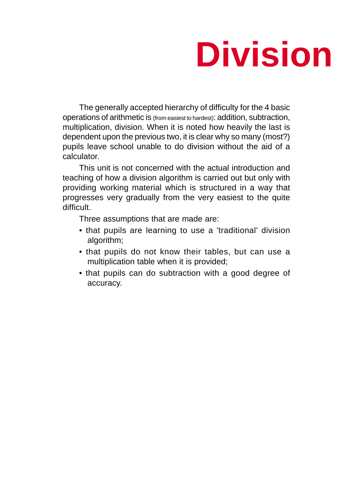# **Division**

The generally accepted hierarchy of difficulty for the 4 basic operations of arithmetic is (from easiest to hardest): addition, subtraction, multiplication, division. When it is noted how heavily the last is dependent upon the previous two, it is clear why so many (most?) pupils leave school unable to do division without the aid of a calculator.

This unit is not concerned with the actual introduction and teaching of how a division algorithm is carried out but only with providing working material which is structured in a way that progresses very gradually from the very easiest to the quite difficult.

Three assumptions that are made are:

- that pupils are learning to use a 'traditional' division algorithm;
- that pupils do not know their tables, but can use a multiplication table when it is provided;
- that pupils can do subtraction with a good degree of accuracy.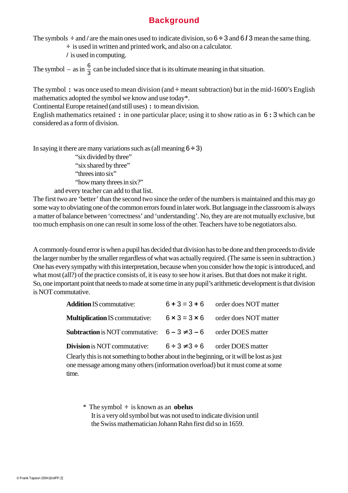## **Background**

The symbols **÷** and **/** are the main ones used to indicate division, so 6 **÷** 3 and 6 **/** 3 mean the same thing.

**÷** is used in written and printed work, and also on a calculator.

**/** is used in computing.

The symbol – as in  $\frac{6}{3}$  can be included since that is its ultimate meaning in that situation.

The symbol **:** was once used to mean division (and **÷** meant subtraction) but in the mid-1600's English mathematics adopted the symbol we know and use today\*.

Continental Europe retained (and still uses) **:** to mean division.

English mathematics retained **:** in one particular place; using it to show ratio as in 6 **:** 3 which can be considered as a form of division.

In saying it there are many variations such as (all meaning  $6 \div 3$ ) "six divided by three" "six shared by three" "threes into six" "how many threes in six?"

and every teacher can add to that list.

The first two are 'better' than the second two since the order of the numbers is maintained and this may go some way to obviating one of the common errors found in later work. But language in the classroom is always a matter of balance between 'correctness' and 'understanding'. No, they are are not mutually exclusive, but too much emphasis on one can result in some loss of the other. Teachers have to be negotiators also.

A commonly-found error is when a pupil has decided that division has to be done and then proceeds to divide the larger number by the smaller regardless of what was actually required. (The same is seen in subtraction.) One has every sympathy with this interpretation, because when you consider how the topic is introduced, and what most (all?) of the practice consists of, it is easy to see how it arises. But that does not make it right. So, one important point that needs to made at some time in any pupil's arithmetic development is that division is NOT commutative.

| <b>Addition IS commutative:</b>                                         | $6 + 3 = 3 + 6$ order does NOT matter           |
|-------------------------------------------------------------------------|-------------------------------------------------|
| <b>Multiplication IS commutative:</b>                                   | $6 \times 3 = 3 \times 6$ order does NOT matter |
| <b>Subtraction</b> is NOT commutative: $6-3 \neq 3-6$ order DOES matter |                                                 |
| <b>Division</b> is NOT commutative:                                     | $6 \div 3 \neq 3 \div 6$ order DOES matter      |

Clearly this is not something to bother about in the beginning, or it will be lost as just one message among many others (information overload) but it must come at some time.

\* The symbol **÷** is known as an **obelus** It is a very old symbol but was not used to indicate division until the Swiss mathematician Johann Rahn first did so in 1659.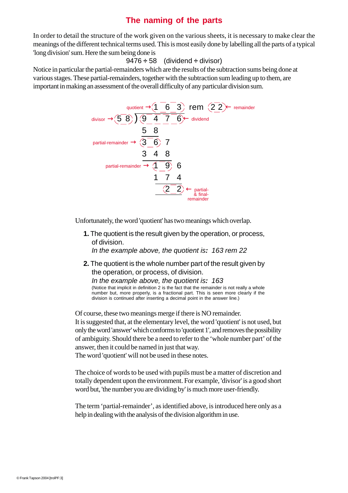## **The naming of the parts**

In order to detail the structure of the work given on the various sheets, it is necessary to make clear the meanings of the different technical terms used. This is most easily done by labelling all the parts of a typical 'long division' sum. Here the sum being done is

#### 9476 **÷** 58 (dividend **÷** divisor)

Notice in particular the partial-remainders which are the results of the subtraction sums being done at various stages. These partial-remainders, together with the subtraction sum leading up to them, are important in making an assessment of the overall difficulty of any particular division sum.



Unfortunately, the word 'quotient' has two meanings which overlap.

**1.** The quotient is the result given by the operation, or process, of division.

*In the example above, the quotient is: 163 rem 22*

**2.** The quotient is the whole number part of the result given by the operation, or process, of division. *In the example above, the quotient is: 163* (Notice that implicit in definition 2 is the fact that the remainder is not really a whole number but, more properly, is a fractional part. This is seen more clearly if the division is continued after inserting a decimal point in the answer line.)

Of course, these two meanings merge if there is NO remainder. It is suggested that, at the elementary level, the word 'quotient' is not used, but only the word 'answer' which conforms to 'quotient 1', and removes the possibility of ambiguity. Should there be a need to refer to the 'whole number part' of the answer, then it could be named in just that way.

The word 'quotient' will not be used in these notes.

The choice of words to be used with pupils must be a matter of discretion and totally dependent upon the environment. For example, 'divisor' is a good short word but, 'the number you are dividing by' is much more user-friendly.

The term 'partial-remainder', as identified above, is introduced here only as a help in dealing with the analysis of the division algorithm in use.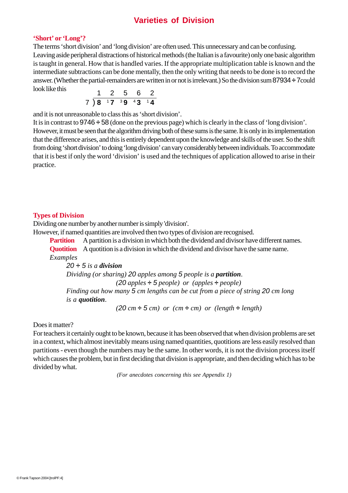## **Varieties of Division**

#### **'Short' or 'Long'?**

The terms 'short division' and 'long division' are often used. This unnecessary and can be confusing. Leaving aside peripheral distractions of historical methods (the Italian is a favourite) only one basic algorithm is taught in general. How that is handled varies. If the appropriate multiplication table is known and the intermediate subtractions can be done mentally, then the only writing that needs to be done is to record the answer. (Whether the partial-remainders are written in or not is irrelevant.) So the division sum 87934 **÷** 7could look like this

$$
\begin{array}{r}\n1 & 2 & 5 & 6 & 2 \\
7 & 8 & 17 & 39 & 43 & 14\n\end{array}
$$

and it is not unreasonable to class this as 'short division'.

It is in contrast to 9746 **÷** 58 (done on the previous page) which is clearly in the class of 'long division'. However, it must be seen that the algorithm driving both of these sums is the same. It is only in its implementation that the difference arises, and this is entirely dependent upon the knowledge and skills of the user. So the shift from doing 'short division' to doing 'long division' can vary considerably between individuals. To accommodate that it is best if only the word 'division' is used and the techniques of application allowed to arise in their practice.

#### **Types of Division**

Dividing one number by another number is simply 'division'.

However, if named quantities are involved then two types of division are recognised.

**Partition** A partition is a division in which both the dividend and divisor have different names. **Quotition** A quotition is a division in which the dividend and divisor have the same name. *Examples*

*20 ÷ 5 is a division Dividing (or sharing) 20 apples among 5 people is a partition*. *(20 apples* **÷** *5 people) or (apples* **÷** *people) Finding out how many 5 cm lengths can be cut from a piece of string 20 cm long is a quotition*.

 $(20 \text{ cm} \div 5 \text{ cm})$  or  $(\text{ cm} \div \text{ cm})$  or  $(\text{length} \div \text{length})$ 

Does it matter?

For teachers it certainly ought to be known, because it has been observed that when division problems are set in a context, which almost inevitably means using named quantities, quotitions are less easily resolved than partitions - even though the numbers may be the same. In other words, it is not the division process itself which causes the problem, but in first deciding that division is appropriate, and then deciding which has to be divided by what.

*(For anecdotes concerning this see Appendix 1)*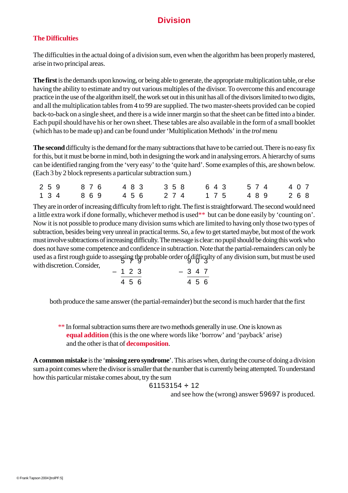# **Division**

## **The Difficulties**

The difficulties in the actual doing of a division sum, even when the algorithm has been properly mastered, arise in two principal areas.

**The first** is the demands upon knowing, or being able to generate, the appropriate multiplication table, or else having the ability to estimate and try out various multiples of the divisor. To overcome this and encourage practice in the use of the algorithm itself, the work set out in this unit has all of the divisors limited to two digits, and all the multiplication tables from 4 to 99 are supplied. The two master-sheets provided can be copied back-to-back on a single sheet, and there is a wide inner margin so that the sheet can be fitted into a binder. Each pupil should have his or her own sheet. These tables are also available in the form of a small booklet (which has to be made up) and can be found under 'Multiplication Methods' in the *trol* menu

**The second** difficulty is the demand for the many subtractions that have to be carried out. There is no easy fix for this, but it must be borne in mind, both in designing the work and in analysing errors. A hierarchy of sums can be identified ranging from the 'very easy' to the 'quite hard'. Some examples of this, are shown below. (Each 3 by 2 block represents a particular subtraction sum.)

|  |  | 2 5 9 8 7 6 4 8 3 3 5 8 6 4 3 5 7 4 4 0 7 |  |
|--|--|-------------------------------------------|--|
|  |  | 1 3 4 8 6 9 4 5 6 2 7 4 1 7 5 4 8 9 2 6 8 |  |

They are in order of increasing difficulty from left to right. The first is straightforward. The second would need a little extra work if done formally, whichever method is used\*\* but can be done easily by 'counting on'. Now it is not possible to produce many division sums which are limited to having only those two types of subtraction, besides being very unreal in practical terms. So, a few to get started maybe, but most of the work must involve subtractions of increasing difficulty. The message is clear: no pupil should be doing this work who does not have some competence and confidence in subtraction. Note that the partial-remainders can only be used as a first rough guide to assessing the probable order of difficulty of any division sum, but must be used<br>and discussion Canciden with discretion. Consider,

|  | $-123$ |  | $-347$ |  |
|--|--------|--|--------|--|
|  | 4 5 6  |  | 4 5 6  |  |

both produce the same answer (the partial-remainder) but the second is much harder that the first

\*\* In formal subtraction sums there are two methods generally in use. One is known as **equal addition** (this is the one where words like 'borrow' and 'payback' arise) and the other is that of **decomposition**.

**A common mistake** is the '**missing zero syndrome**'. This arises when, during the course of doing a division sum a point comes where the divisor is smaller that the number that is currently being attempted. To understand how this particular mistake comes about, try the sum

$$
61153154 \div 12
$$

and see how the (wrong) answer 59697 is produced.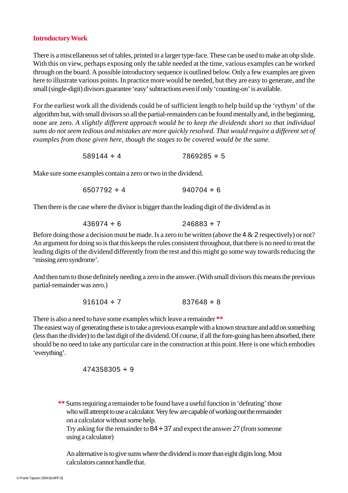#### **Introductory Work**

There is a miscellaneous set of tables, printed in a larger type-face. These can be used to make an ohp slide. With this on view, perhaps exposing only the table needed at the time, various examples can be worked through on the board. A possible introductory sequence is outlined below. Only a few examples are given here to illustrate various points. In practice more would be needed, but they are easy to generate, and the small (single-digit) divisors guarantee 'easy' subtractions even if only 'counting-on' is available.

For the earliest work all the dividends could be of sufficient length to help build up the 'rythym' of the algorithm but, with small divisors so all the partial-remainders can be found mentally and, in the beginning, none are zero. *A slightly different approach would be to keep the dividends short so that individual sums do not seem tedious and mistakes are more quickly resolved. That would require a different set of examples from those given here, though the stages to be covered would be the same.*

589144 **÷** 4 7869285 **÷** 5

Make sure some examples contain a zero or two in the dividend.

Then there is the case where the divisor is bigger than the leading digit of the dividend as in

$$
436974 \div 6 \qquad \qquad 246883 \div 7
$$

Before doing those a decision must be made. Is a zero to be written (above the 4 & 2 respectively) or not? An argument for doing so is that this keeps the rules consistent throughout, that there is no need to treat the leading digits of the dividend differently from the rest and this might go some way towards reducing the 'missing zero syndrome'.

And then turn to those definitely needing a zero in the answer. (With small divisors this means the previous partial-remainder was zero.)

 $916104 \div 7$  837648  $\div 8$ 

There is also a need to have some examples which leave a remainder **\*\***

The easiest way of generating these is to take a previous example with a known structure and add on something (less than the divider) to the last digit of the dividend. Of course, if all the fore-going has been absorbed, there should be no need to take any particular care in the construction at this point. Here is one which embodies 'everything'.

$$
474358305 \div 9
$$

**\*\*** Sums requiring a remainder to be found have a useful function in 'defeating' those who will attempt to use a calculator. Very few are capable of working out the remainder on a calculator without some help.

Try asking for the remainder to 84 **÷** 37 and expect the answer 27 (from someone using a calculator)

An alternative is to give sums where the dividend is more than eight digits long. Most calculators cannot handle that.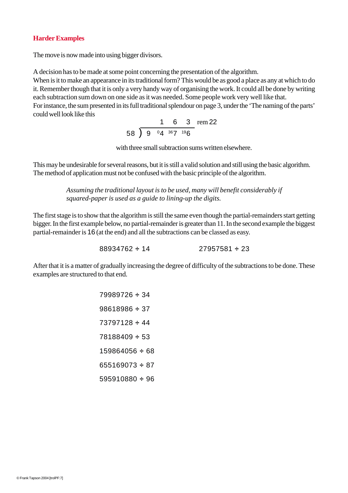#### **Harder Examples**

The move is now made into using bigger divisors.

A decision has to be made at some point concerning the presentation of the algorithm.

When is it to make an appearance in its traditional form? This would be as good a place as any at which to do it. Remember though that it is only a very handy way of organising the work. It could all be done by writing each subtraction sum down on one side as it was needed. Some people work very well like that. For instance, the sum presented in its full traditional splendour on page 3, under the 'The naming of the parts' could well look like this

> 163 rem 22  $58$  ) 9  $^{0}4$   $^{36}7$   $^{19}6$

with three small subtraction sums written elsewhere.

This may be undesirable for several reasons, but it is still a valid solution and still using the basic algorithm. The method of application must not be confused with the basic principle of the algorithm.

> *Assuming the traditional layout is to be used, many will benefit considerably if squared-paper is used as a guide to lining-up the digits.*

The first stage is to show that the algorithm is still the same even though the partial-remainders start getting bigger. In the first example below, no partial-remainder is greater than 11. In the second example the biggest partial-remainder is 16 (at the end) and all the subtractions can be classed as easy.

88934762 **÷** 14 27957581 **÷** 23

After that it is a matter of gradually increasing the degree of difficulty of the subtractions to be done. These examples are structured to that end.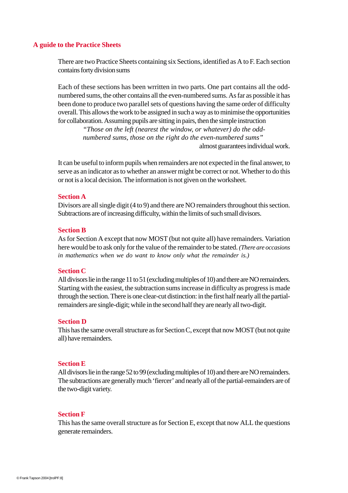#### **A guide to the Practice Sheets**

There are two Practice Sheets containing six Sections, identified as A to F. Each section contains forty division sums

Each of these sections has been wrritten in two parts. One part contains all the oddnumbered sums, the other contains all the even-numbered sums. As far as possible it has been done to produce two parallel sets of questions having the same order of difficulty overall. This allows the work to be assigned in such a way as to minimise the opportunities for collaboration. Assuming pupils are sitting in pairs, then the simple instruction

> *"Those on the left (nearest the window, or whatever) do the oddnumbered sums, those on the right do the even-numbered sums"* almost guarantees individual work.

It can be useful to inform pupils when remainders are not expected in the final answer, to serve as an indicator as to whether an answer might be correct or not. Whether to do this or not is a local decision. The information is not given on the worksheet.

#### **Section A**

Divisors are all single digit (4 to 9) and there are NO remainders throughout this section. Subtractions are of increasing difficulty, within the limits of such small divisors.

#### **Section B**

As for Section A except that now MOST (but not quite all) have remainders. Variation here would be to ask only for the value of the remainder to be stated. *(There are occasions in mathematics when we do want to know only what the remainder is.)*

#### **Section C**

All divisors lie in the range 11 to 51 (excluding multiples of 10) and there are NO remainders. Starting with the easiest, the subtraction sums increase in difficulty as progress is made through the section. There is one clear-cut distinction: in the first half nearly all the partialremainders are single-digit; while in the second half they are nearly all two-digit.

#### **Section D**

This has the same overall structure as for Section C, except that now MOST (but not quite all) have remainders.

#### **Section E**

All divisors lie in the range 52 to 99 (excluding multiples of 10) and there are NO remainders. The subtractions are generally much 'fiercer' and nearly all of the partial-remainders are of the two-digit variety.

#### **Section F**

This has the same overall structure as for Section E, except that now ALL the questions generate remainders.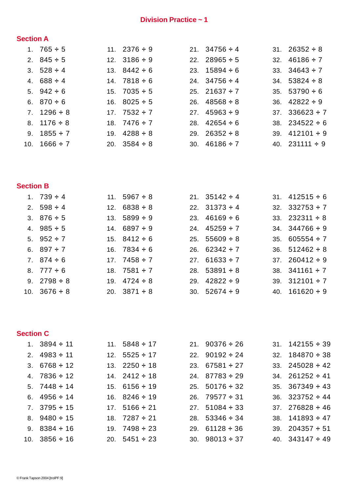## **Division Practice ~ 1**

## **Section A**

| 1. $765 \div 5$   | 11. $2376 \div 9$ | 21. $34756 \div 4$ | 31. $26352 \div 8$  |
|-------------------|-------------------|--------------------|---------------------|
| 2. $845 \div 5$   | 12. $3186 \div 9$ | 22. $28965 \div 5$ | 32. $46186 \div 7$  |
| 3. $528 \div 4$   | 13. $8442 \div 6$ | 23. $15894 \div 6$ | 33. $34643 \div 7$  |
| 4. $688 \div 4$   | 14. $7818 \div 6$ | 24. $34756 \div 4$ | 34. $53824 \div 8$  |
| 5. $942 \div 6$   | 15. $7035 \div 5$ | 25. 21637 $\div$ 7 | 35. $53790 \div 6$  |
| 6. $870 \div 6$   | 16. $8025 \div 5$ | 26. $48568 \div 8$ | 36. $42822 \div 9$  |
| 7. $1296 \div 8$  | 17. $7532 \div 7$ | 27. $45963 \div 9$ | 37. $336623 \div 7$ |
| 8. $1176 \div 8$  | 18. $7476 \div 7$ | 28. $42654 \div 6$ | 38. $234522 \div 6$ |
| 9. $1855 \div 7$  | 19. $4288 \div 8$ | 29. $26352 \div 8$ | 39. $412101 \div 9$ |
| 10. $1666 \div 7$ | 20. $3584 \div 8$ | 30. $46186 \div 7$ | 40. $231111 \div 9$ |
|                   |                   |                    |                     |

## **Section B**

| 1. $739 \div 4$   | 11. $5967 \div 8$ | 21. $35142 \div 4$ | 31. $412515 \div 6$ |
|-------------------|-------------------|--------------------|---------------------|
| 2. $598 \div 4$   | 12. $6838 \div 8$ | 22. $31373 \div 4$ | 32. $332753 \div 7$ |
| 3. $876 \div 5$   | 13. $5899 \div 9$ | 23. $46169 \div 6$ | 33. $232311 \div 8$ |
| 4. $985 \div 5$   | 14. $6897 \div 9$ | 24. $45259 \div 7$ | 34. $344766 \div 9$ |
| 5. $952 \div 7$   | 15. $8412 \div 6$ | 25. $55609 \div 8$ | 35. $605554 \div 7$ |
| 6. $897 \div 7$   | 16. $7834 \div 6$ | 26. $62342 \div 7$ | 36. $512462 \div 8$ |
| 7. $874 \div 6$   | 17. $7458 \div 7$ | 27. $61633 \div 7$ | 37. $260412 \div 9$ |
| 8. $777 \div 6$   | 18. $7581 \div 7$ | 28. $53891 \div 8$ | 38. $341161 \div 7$ |
| 9. $2798 \div 8$  | 19. $4724 \div 8$ | 29. $42822 \div 9$ | 39. $312101 \div 7$ |
| 10. $3676 \div 8$ | 20. $3871 \div 8$ | 30. $52674 \div 9$ | 40. $161620 \div 9$ |

### **Section C**

| 1. $3894 \div 11$  | 11. $5848 \div 17$ | 21. $90376 \div 26$ | $31. \quad 142155 \div 39$ |
|--------------------|--------------------|---------------------|----------------------------|
| 2. $4983 \div 11$  | 12. $5525 \div 17$ | 22. $90192 \div 24$ | 32. $184870 \div 38$       |
| 3. $6768 \div 12$  | 13. $2250 \div 18$ | 23. $67581 \div 27$ | 33. $245028 \div 42$       |
| 4. $7836 \div 12$  | 14. $2412 \div 18$ | 24. $87783 \div 29$ | 34. $261252 \div 41$       |
| 5. $7448 \div 14$  | 15. $6156 \div 19$ | 25. $50176 \div 32$ | 35. $367349 \div 43$       |
| 6. $4956 \div 14$  | 16. $8246 \div 19$ | 26. $79577 \div 31$ | 36. $323752 \div 44$       |
| 7. $3795 \div 15$  | 17. $5166 \div 21$ | 27. $51084 \div 33$ | 37. $276828 \div 46$       |
| 8. $9480 \div 15$  | 18. $7287 \div 21$ | 28. $53346 \div 34$ | 38. $141893 \div 47$       |
| 9. $8384 \div 16$  | 19. $7498 \div 23$ | 29. $61128 \div 36$ | 39. $204357 \div 51$       |
| 10. $3856 \div 16$ | 20. $5451 \div 23$ | 30. $98013 \div 37$ | 40. $343147 \div 49$       |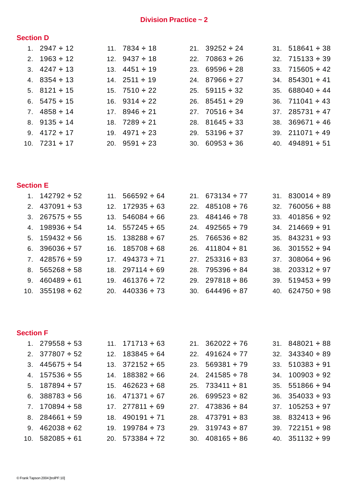## **Division Practice ~ 2**

## **Section D**

| 1. $2947 \div 12$  | 11. $7834 \div 18$ | 21. $39252 \div 24$ | 31. $518641 \div 38$ |
|--------------------|--------------------|---------------------|----------------------|
| 2. $1963 \div 12$  | 12. $9437 \div 18$ | 22. $70863 \div 26$ | $32.715133 \div 39$  |
| 3. $4247 \div 13$  | 13. $4451 \div 19$ | 23. $69596 \div 28$ | 33. $715605 \div 42$ |
| 4. $8354 \div 13$  | 14. $2511 \div 19$ | 24. $87966 \div 27$ | 34. $854301 \div 41$ |
| 5. $8121 \div 15$  | 15. $7510 \div 22$ | 25. $59115 \div 32$ | 35. $688040 \div 44$ |
| 6. $5475 \div 15$  | 16. $9314 \div 22$ | 26. $85451 \div 29$ | 36. $711041 \div 43$ |
| 7. $4858 \div 14$  | 17. $8946 \div 21$ | 27. $70516 \div 34$ | 37. $285731 \div 47$ |
| 8. $9135 \div 14$  | 18. $7289 \div 21$ | 28. $81645 \div 33$ | 38. $369671 \div 46$ |
| 9. $4172 \div 17$  | 19. $4971 \div 23$ | 29. $53196 \div 37$ | 39. $211071 \div 49$ |
| 10. $7231 \div 17$ | 20. $9591 \div 23$ | 30. $60953 \div 36$ | 40. $494891 \div 51$ |

## **Section E**

| 1. $142792 \div 52$  | 11. $566592 \div 64$ | 21. $673134 \div 77$ | 31. $830014 \div 89$ |
|----------------------|----------------------|----------------------|----------------------|
| 2. $437091 \div 53$  | 12. $172935 \div 63$ | 22. $485108 \div 76$ | 32. $760056 \div 88$ |
| 3. $267575 \div 55$  | 13. $546084 \div 66$ | 23. $484146 \div 78$ | 33. $401856 \div 92$ |
| 4. $198936 \div 54$  | 14. $557245 \div 65$ | 24. $492565 \div 79$ | 34. $214669 \div 91$ |
| 5. $159432 \div 56$  | 15. $138288 \div 67$ | 25. $766536 \div 82$ | 35. $843231 \div 93$ |
| 6. $396036 \div 57$  | 16. $185708 \div 68$ | 26. $411804 \div 81$ | 36. $301552 \div 94$ |
| 7. $428576 \div 59$  | 17. $494373 \div 71$ | 27. $253316 \div 83$ | 37. $308064 \div 96$ |
| 8. $565268 \div 58$  | 18. $297114 \div 69$ | 28. $795396 \div 84$ | 38. $203312 \div 97$ |
| 9. $460489 \div 61$  | 19. $461376 \div 72$ | 29. $297818 \div 86$ | 39. $519453 \div 99$ |
| 10. $355198 \div 62$ | 20. $440336 \div 73$ | 30. $644496 \div 87$ | 40. $624750 \div 98$ |

## **Section F**

| 1. $279558 \div 53$  | 11. $171713 \div 63$ | 21. $362022 \div 76$ | $31. \quad 848021 \div 88$ |
|----------------------|----------------------|----------------------|----------------------------|
| 2. $377807 \div 52$  | 12. $183845 \div 64$ | 22. $491624 \div 77$ | 32. $343340 \div 89$       |
| 3. $445675 \div 54$  | 13. $372152 \div 65$ | 23. $569381 \div 79$ | 33. $510383 \div 91$       |
| 4. $157536 \div 55$  | 14. $188382 \div 66$ | 24. $241585 \div 78$ | $34. 100903 \div 92$       |
| 5. $187894 \div 57$  | 15. $462623 \div 68$ | 25. $733411 \div 81$ | 35. $551866 \div 94$       |
| 6. $388783 \div 56$  | 16. $471371 \div 67$ | 26. $699523 \div 82$ | 36. $354033 \div 93$       |
| 7. $170894 \div 58$  | 17. $277811 \div 69$ | 27. $473836 \div 84$ | $37. 105253 \div 97$       |
| 8. $284661 \div 59$  | 18. $490191 \div 71$ | 28. $473791 \div 83$ | 38. $832413 \div 96$       |
| 9. $462038 \div 62$  | 19. $199784 \div 73$ | 29. $319743 \div 87$ | $39.722151 \div 98$        |
| 10. $582085 \div 61$ | 20. $573384 \div 72$ | 30. $408165 \div 86$ | 40. $351132 \div 99$       |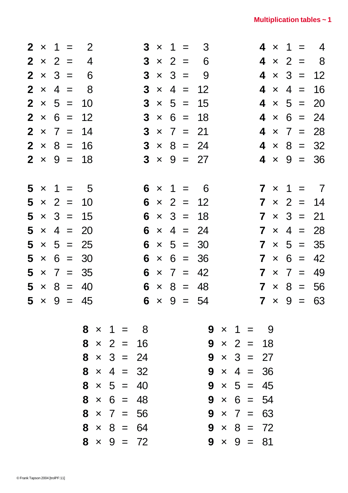|   |  | $2 \times 1 = 2$  |  |                   |  |                | $3 \times 1 = 3$  |                   |  |  | $4 \times 1 =$ | $\overline{4}$    |
|---|--|-------------------|--|-------------------|--|----------------|-------------------|-------------------|--|--|----------------|-------------------|
|   |  | $2 \times 2 = 4$  |  |                   |  |                | $3 \times 2 = 6$  |                   |  |  |                | $4 \times 2 = 8$  |
|   |  | $2 \times 3 = 6$  |  |                   |  | $3 \times 3 =$ | - 9               |                   |  |  |                | $4 \times 3 = 12$ |
|   |  | $2 \times 4 = 8$  |  |                   |  |                | $3 \times 4 = 12$ |                   |  |  |                | $4 \times 4 = 16$ |
|   |  | $2 \times 5 = 10$ |  |                   |  |                | $3 \times 5 = 15$ |                   |  |  |                | $4 \times 5 = 20$ |
|   |  | $2 \times 6 = 12$ |  |                   |  |                | $3 \times 6 = 18$ |                   |  |  |                | $4 \times 6 = 24$ |
|   |  | $2 \times 7 = 14$ |  |                   |  |                | $3 \times 7 = 21$ |                   |  |  |                | $4 \times 7 = 28$ |
|   |  | $2 \times 8 = 16$ |  |                   |  |                | $3 \times 8 = 24$ |                   |  |  |                | $4 \times 8 = 32$ |
|   |  | $2 \times 9 = 18$ |  |                   |  |                | $3 \times 9 = 27$ |                   |  |  |                | $4 \times 9 = 36$ |
|   |  |                   |  |                   |  |                |                   |                   |  |  |                |                   |
| 5 |  | $x = 1 = 5$       |  |                   |  |                | $6 \times 1 = 6$  |                   |  |  |                | $7 \times 1 = 7$  |
|   |  | $5 \times 2 = 10$ |  |                   |  |                | $6 \times 2 = 12$ |                   |  |  |                | $7 \times 2 = 14$ |
|   |  | $5 \times 3 = 15$ |  |                   |  |                | $6 \times 3 = 18$ |                   |  |  |                | $7 \times 3 = 21$ |
|   |  | $5 \times 4 = 20$ |  |                   |  |                | $6 \times 4 = 24$ |                   |  |  |                | $7 \times 4 = 28$ |
|   |  | $5 \times 5 = 25$ |  |                   |  |                | $6 \times 5 = 30$ |                   |  |  |                | $7 \times 5 = 35$ |
|   |  | $5 \times 6 = 30$ |  |                   |  |                | $6 \times 6 = 36$ |                   |  |  |                | $7 \times 6 = 42$ |
|   |  | $5 \times 7 = 35$ |  | $6^{\circ}$       |  |                | $\times$ 7 = 42   |                   |  |  |                | $7 \times 7 = 49$ |
|   |  | $5 \times 8 = 40$ |  |                   |  |                | $6 \times 8 = 48$ |                   |  |  |                | $7 \times 8 = 56$ |
|   |  | $5 \times 9 = 45$ |  |                   |  |                | $6 \times 9 = 54$ |                   |  |  |                | $7 \times 9 = 63$ |
|   |  |                   |  | $8 \times 1 = 8$  |  |                |                   | $9 \times 1 = 9$  |  |  |                |                   |
|   |  |                   |  | $8 \times 2 = 16$ |  |                |                   | $9 \times 2 = 18$ |  |  |                |                   |
|   |  |                   |  | $8 \times 3 = 24$ |  |                |                   | $9 \times 3 = 27$ |  |  |                |                   |
|   |  |                   |  | $8 \times 4 = 32$ |  |                |                   | $9 \times 4 = 36$ |  |  |                |                   |
|   |  |                   |  | $8 \times 5 = 40$ |  |                |                   | $9 \times 5 = 45$ |  |  |                |                   |
|   |  |                   |  | $8 \times 6 = 48$ |  |                |                   | $9 \times 6 = 54$ |  |  |                |                   |
|   |  |                   |  | $8 \times 7 = 56$ |  |                |                   | $9 \times 7 = 63$ |  |  |                |                   |
|   |  |                   |  | $8 \times 8 = 64$ |  |                |                   | $9 \times 8 = 72$ |  |  |                |                   |
|   |  |                   |  | $8 \times 9 = 72$ |  |                |                   | $9 \times 9 = 81$ |  |  |                |                   |
|   |  |                   |  |                   |  |                |                   |                   |  |  |                |                   |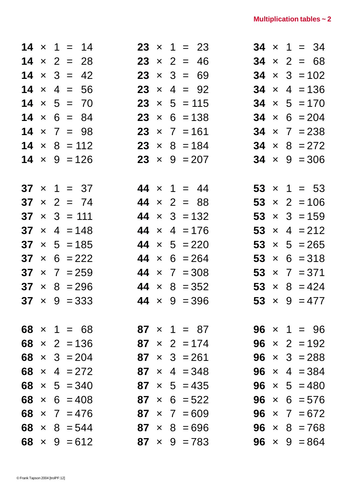|  | $14 \times 1 = 14$<br>$14 \times 2 = 28$<br>$14 \times 3 = 42$<br>$14 \times 4 = 56$<br>$14 \times 5 = 70$<br>$14 \times 6 = 84$<br>$14 \times 7 = 98$<br>$14 \times 8 = 112$<br>$14 \times 9 = 126$<br>$37 \times 1 = 37$<br>$37 \times 2 = 74$<br>$37 \times 3 = 111$<br>$37 \times 4 = 148$<br>$37 \times 5 = 185$<br>$37 \times 6 = 222$<br>$37 \times 7 = 259$<br>$37 \times 8 = 296$<br>$37 \times 9 = 333$<br>$68 \times 1 = 68$<br>68 $\times$ 2 = 136<br>68 $\times$ 3 = 204<br>68 $\times$ 4 = 272<br>68 $\times$ 5 = 340<br>68 $\times$ 6 = 408<br>68 $\times$ 7 = 476<br>68 $\times$ 8 = 544<br>68 $\times$ 9 = 612 |  | $23 \times 2 = 46$<br>$23 \times 3 = 69$<br>$23 \times 4 = 92$<br>$23 \times 5 = 115$<br>$44 \times 1 = 44$<br>$44 \times 2 = 88$<br>44 $\times$ 4 = 176<br>44 $\times$ 5 = 220 | $23 \times 1 = 23$<br>$23 \times 6 = 138$<br>$23 \times 7 = 161$<br>$23 \times 8 = 184$<br>$23 \times 9 = 207$<br>$44 \times 3 = 132$<br>$44 \times 6 = 264$<br>44 $\times$ 7 = 308<br>$44 \times 8 = 352$<br>$44 \times 9 = 396$<br>$87 \times 1 = 87$<br>$87 \times 2 = 174$<br>$87 \times 3 = 261$<br>$87 \times 4 = 348$<br>$87 \times 5 = 435$<br>$87 \times 6 = 522$<br>$87 \times 7 = 609$<br>$87 \times 8 = 696$<br>$87 \times 9 = 783$ |  | $34 \times 1 = 34$<br>$34 \times 2 = 68$<br>$34 \times 3 = 102$<br>$34 \times 4 = 136$<br>$34 \times 5 = 170$<br>$34 \times 6 = 204$<br>$34 \times 7 = 238$<br>$34 \times 8 = 272$<br>$34 \times 9 = 306$<br>$53 \times 1 = 53$<br>$53 \times 2 = 106$<br>$53 \times 3 = 159$<br>53 $\times$ 4 = 212<br>$53 \times 5 = 265$<br>$53 \times 6 = 318$<br>$53 \times 7 = 371$<br>53 $\times$ 8 = 424<br>53 $\times$ 9 = 477<br>$96 \times 1 = 96$<br><b>96</b> $\times$ 2 = 192<br><b>96</b> $\times$ 3 = 288<br>96 $\times$ 4 = 384<br>$96 \times 5 = 480$<br>$96 \times 6 = 576$<br>$96 \times 7 = 672$<br>$96 \times 8 = 768$<br>$96 \times 9 = 864$ |
|--|---------------------------------------------------------------------------------------------------------------------------------------------------------------------------------------------------------------------------------------------------------------------------------------------------------------------------------------------------------------------------------------------------------------------------------------------------------------------------------------------------------------------------------------------------------------------------------------------------------------------------------|--|---------------------------------------------------------------------------------------------------------------------------------------------------------------------------------|-------------------------------------------------------------------------------------------------------------------------------------------------------------------------------------------------------------------------------------------------------------------------------------------------------------------------------------------------------------------------------------------------------------------------------------------------|--|-----------------------------------------------------------------------------------------------------------------------------------------------------------------------------------------------------------------------------------------------------------------------------------------------------------------------------------------------------------------------------------------------------------------------------------------------------------------------------------------------------------------------------------------------------------------------------------------------------------------------------------------------------|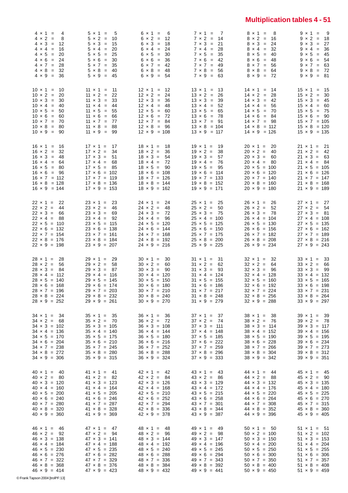# **Multiplication tables 4 - 51**

| $46 \times 1 = 46$<br>$46 \times 2 = 92$<br>$46 \times 3 = 138$<br>$46 \times 4 = 184$<br>$46 \times 5 = 230$<br>$46 \times 6 = 276$<br>$46 \times 7 = 322$<br>$46 \times 8 = 368$<br>$46 \times 9 = 414$ | $40 \times 1 = 40$<br>$40 \times 2 = 80$<br>$40 \times 3 = 120$<br>$40 \times 4 = 160$<br>$40 \times 5 = 200$<br>$40 \times 6 = 240$<br>$40 \times 7 = 280$<br>$40 \times 8 = 320$<br>$40 \times 9 = 360$ | $34 \times 1 = 34$<br>$34 \times 2 = 68$<br>$34 \times 3 = 102$<br>$34 \times 4 = 136$<br>$34 \times 5 = 170$<br>$34 \times 6 = 204$<br>$34 \times 7 = 238$<br>$34 \times 8 = 272$<br>$34 \times 9 = 306$ | $28 \times 1 = 28$<br>$28 \times 2 = 56$<br>$28 \times 3 = 84$<br>$28 \times 4 = 112$<br>$28 \times 5 = 140$<br>$28 \times 6 = 168$<br>$28 \times 7 = 196$<br>$28 \times 8 = 224$<br>$28 \times 9 = 252$ | $22 \times 1 = 22$<br>$22 \times 2 = 44$<br>$22 \times 3 = 66$<br>$22 \times 4 = 88$<br>$22 \times 5 = 110$<br>$22 \times 6 = 132$<br>$22 \times 7 = 154$<br>$22 \times 8 = 176$<br>$22 \times 9 = 198$ | $16 \times 1 = 16$<br>$16 \times 2 = 32$<br>$16 \times 3 = 48$<br>$16 \times 4 = 64$<br>$16 \times 5 = 80$<br>$16 \times 6 = 96$<br>$16 \times 7 = 112$<br>$16 \times 8 = 128$<br>$16 \times 9 = 144$ | $10 \times 1 = 10$<br>$10 \times 2 = 20$<br>$10 \times 3 = 30$<br>$10 \times 4 = 40$<br>$10 \times 5 = 50$<br>$10 \times 6 = 60$<br>$10 \times 7 = 70$<br>$10 \times 8 = 80$<br>$10 \times 9 = 90$ | $4 \times 1 = 4$<br>$4 \times 2 =$<br>- 8<br>$4 \times 3 = 12$<br>$4 \times 4 = 16$<br>$4 \times 5 = 20$<br>$4 \times 6 = 24$<br>$4 \times 7 = 28$<br>$4 \times 8 = 32$<br>$4 \times 9 = 36$ |
|-----------------------------------------------------------------------------------------------------------------------------------------------------------------------------------------------------------|-----------------------------------------------------------------------------------------------------------------------------------------------------------------------------------------------------------|-----------------------------------------------------------------------------------------------------------------------------------------------------------------------------------------------------------|----------------------------------------------------------------------------------------------------------------------------------------------------------------------------------------------------------|---------------------------------------------------------------------------------------------------------------------------------------------------------------------------------------------------------|-------------------------------------------------------------------------------------------------------------------------------------------------------------------------------------------------------|----------------------------------------------------------------------------------------------------------------------------------------------------------------------------------------------------|----------------------------------------------------------------------------------------------------------------------------------------------------------------------------------------------|
| $47 \times 1 = 47$                                                                                                                                                                                        | $41 \times 1 = 41$                                                                                                                                                                                        | $35 \times 1 = 35$                                                                                                                                                                                        | $29 \times 1 = 29$                                                                                                                                                                                       | $23 \times 1 = 23$                                                                                                                                                                                      | $17 \times 1 = 17$                                                                                                                                                                                    | $11 \times 1 = 11$                                                                                                                                                                                 | $5 \times 1 = 5$                                                                                                                                                                             |
| $47 \times 2 = 94$                                                                                                                                                                                        | $41 \times 2 = 82$                                                                                                                                                                                        | $35 \times 2 = 70$                                                                                                                                                                                        | $29 \times 2 = 58$                                                                                                                                                                                       | $23 \times 2 = 46$                                                                                                                                                                                      | $17 \times 2 = 34$                                                                                                                                                                                    | $11 \times 2 = 22$                                                                                                                                                                                 | $5 \times 2 = 10$                                                                                                                                                                            |
| $47 \times 3 = 141$                                                                                                                                                                                       | $41 \times 3 = 123$                                                                                                                                                                                       | $35 \times 3 = 105$                                                                                                                                                                                       | $29 \times 3 = 87$                                                                                                                                                                                       | $23 \times 3 = 69$                                                                                                                                                                                      | $17 \times 3 = 51$                                                                                                                                                                                    | $11 \times 3 = 33$                                                                                                                                                                                 | $5 \times 3 = 15$                                                                                                                                                                            |
| $47 \times 4 = 188$                                                                                                                                                                                       | $41 \times 4 = 164$                                                                                                                                                                                       | $35 \times 4 = 140$                                                                                                                                                                                       | $29 \times 4 = 116$                                                                                                                                                                                      | $23 \times 4 = 92$                                                                                                                                                                                      | $17 \times 4 = 68$                                                                                                                                                                                    | $11 \times 4 = 44$                                                                                                                                                                                 | $5 \times 4 = 20$                                                                                                                                                                            |
| $47 \times 5 = 235$                                                                                                                                                                                       | $41 \times 5 = 205$                                                                                                                                                                                       | $35 \times 5 = 175$                                                                                                                                                                                       | $29 \times 5 = 145$                                                                                                                                                                                      | $23 \times 5 = 115$                                                                                                                                                                                     | $17 \times 5 = 85$                                                                                                                                                                                    | $11 \times 5 = 55$                                                                                                                                                                                 | $5 \times 5 = 25$                                                                                                                                                                            |
| $47 \times 6 = 282$                                                                                                                                                                                       | $41 \times 6 = 246$                                                                                                                                                                                       | $35 \times 6 = 210$                                                                                                                                                                                       | $29 \times 6 = 174$                                                                                                                                                                                      | $23 \times 6 = 138$                                                                                                                                                                                     | $17 \times 6 = 102$                                                                                                                                                                                   | $11 \times 6 = 66$                                                                                                                                                                                 | $5 \times 6 = 30$                                                                                                                                                                            |
| $47 \times 7 = 329$                                                                                                                                                                                       | $41 \times 7 = 287$                                                                                                                                                                                       | $35 \times 7 = 245$                                                                                                                                                                                       | $29 \times 7 = 203$                                                                                                                                                                                      | $23 \times 7 = 161$                                                                                                                                                                                     | $17 \times 7 = 119$                                                                                                                                                                                   | $11 \times 7 = 77$                                                                                                                                                                                 | $5 \times 7 = 35$                                                                                                                                                                            |
| $47 \times 8 = 376$                                                                                                                                                                                       | $41 \times 8 = 328$                                                                                                                                                                                       | $35 \times 8 = 280$                                                                                                                                                                                       | $29 \times 8 = 232$                                                                                                                                                                                      | $23 \times 8 = 184$                                                                                                                                                                                     | $17 \times 8 = 136$                                                                                                                                                                                   | $11 \times 8 = 88$                                                                                                                                                                                 | $5 \times 8 = 40$                                                                                                                                                                            |
| $47 \times 9 = 423$                                                                                                                                                                                       | $41 \times 9 = 369$                                                                                                                                                                                       | $35 \times 9 = 315$                                                                                                                                                                                       | $29 \times 9 = 261$                                                                                                                                                                                      | $23 \times 9 = 207$                                                                                                                                                                                     | $17 \times 9 = 153$                                                                                                                                                                                   | $11 \times 9 = 99$                                                                                                                                                                                 | $5 \times 9 = 45$                                                                                                                                                                            |
| $48 \times 1 = 48$                                                                                                                                                                                        | $42 \times 1 = 42$                                                                                                                                                                                        | $36 \times 1 = 36$                                                                                                                                                                                        | $30 \times 1 = 30$                                                                                                                                                                                       | $24 \times 1 = 24$                                                                                                                                                                                      | $18 \times 1 = 18$                                                                                                                                                                                    | $12 \times 1 = 12$                                                                                                                                                                                 | $6 \times 1 = 6$                                                                                                                                                                             |
| $48 \times 2 = 96$                                                                                                                                                                                        | $42 \times 2 = 84$                                                                                                                                                                                        | $36 \times 2 = 72$                                                                                                                                                                                        | $30 \times 2 = 60$                                                                                                                                                                                       | $24 \times 2 = 48$                                                                                                                                                                                      | $18 \times 2 = 36$                                                                                                                                                                                    | $12 \times 2 = 24$                                                                                                                                                                                 | $6 \times 2 = 12$                                                                                                                                                                            |
| $48 \times 3 = 144$                                                                                                                                                                                       | $42 \times 3 = 126$                                                                                                                                                                                       | $36 \times 3 = 108$                                                                                                                                                                                       | $30 \times 3 = 90$                                                                                                                                                                                       | $24 \times 3 = 72$                                                                                                                                                                                      | $18 \times 3 = 54$                                                                                                                                                                                    | $12 \times 3 = 36$                                                                                                                                                                                 | $6 \times 3 = 18$                                                                                                                                                                            |
| $48 \times 4 = 192$                                                                                                                                                                                       | $42 \times 4 = 168$                                                                                                                                                                                       | $36 \times 4 = 144$                                                                                                                                                                                       | $30 \times 4 = 120$                                                                                                                                                                                      | $24 \times 4 = 96$                                                                                                                                                                                      | $18 \times 4 = 72$                                                                                                                                                                                    | $12 \times 4 = 48$                                                                                                                                                                                 | $6 \times 4 = 24$                                                                                                                                                                            |
| $48 \times 5 = 240$                                                                                                                                                                                       | $42 \times 5 = 210$                                                                                                                                                                                       | $36 \times 5 = 180$                                                                                                                                                                                       | $30 \times 5 = 150$                                                                                                                                                                                      | $24 \times 5 = 120$                                                                                                                                                                                     | $18 \times 5 = 90$                                                                                                                                                                                    | $12 \times 5 = 60$                                                                                                                                                                                 | $6 \times 5 = 30$                                                                                                                                                                            |
| $48 \times 6 = 288$                                                                                                                                                                                       | $42 \times 6 = 252$                                                                                                                                                                                       | $36 \times 6 = 216$                                                                                                                                                                                       | $30 \times 6 = 180$                                                                                                                                                                                      | $24 \times 6 = 144$                                                                                                                                                                                     | $18 \times 6 = 108$                                                                                                                                                                                   | $12 \times 6 = 72$                                                                                                                                                                                 | $6 \times 6 = 36$                                                                                                                                                                            |
| $48 \times 7 = 336$                                                                                                                                                                                       | $42 \times 7 = 294$                                                                                                                                                                                       | $36 \times 7 = 252$                                                                                                                                                                                       | $30 \times 7 = 210$                                                                                                                                                                                      | $24 \times 7 = 168$                                                                                                                                                                                     | $18 \times 7 = 126$                                                                                                                                                                                   | $12 \times 7 = 84$                                                                                                                                                                                 | $6 \times 7 = 42$                                                                                                                                                                            |
| $48 \times 8 = 384$                                                                                                                                                                                       | $42 \times 8 = 336$                                                                                                                                                                                       | $36 \times 8 = 288$                                                                                                                                                                                       | $30 \times 8 = 240$                                                                                                                                                                                      | $24 \times 8 = 192$                                                                                                                                                                                     | $18 \times 8 = 144$                                                                                                                                                                                   | $12 \times 8 = 96$                                                                                                                                                                                 | $6 \times 8 = 48$                                                                                                                                                                            |
| $48 \times 9 = 432$                                                                                                                                                                                       | $42 \times 9 = 378$                                                                                                                                                                                       | $36 \times 9 = 324$                                                                                                                                                                                       | $30 \times 9 = 270$                                                                                                                                                                                      | $24 \times 9 = 216$                                                                                                                                                                                     | $18 \times 9 = 162$                                                                                                                                                                                   | $12 \times 9 = 108$                                                                                                                                                                                | $6 \times 9 = 54$                                                                                                                                                                            |
| $49 \times 1 = 49$                                                                                                                                                                                        | $43 \times 1 = 43$                                                                                                                                                                                        | $37 \times 1 = 37$                                                                                                                                                                                        | $31 \times 1 = 31$                                                                                                                                                                                       | $25 \times 1 = 25$                                                                                                                                                                                      | $19 \times 1 = 19$                                                                                                                                                                                    | $13 \times 1 = 13$                                                                                                                                                                                 | $7 \times 1 = 7$                                                                                                                                                                             |
| $49 \times 2 = 98$                                                                                                                                                                                        | $43 \times 2 = 86$                                                                                                                                                                                        | $37 \times 2 = 74$                                                                                                                                                                                        | $31 \times 2 = 62$                                                                                                                                                                                       | $25 \times 2 = 50$                                                                                                                                                                                      | $19 \times 2 = 38$                                                                                                                                                                                    | $13 \times 2 = 26$                                                                                                                                                                                 | $7 \times 2 = 14$                                                                                                                                                                            |
| $49 \times 3 = 147$                                                                                                                                                                                       | $43 \times 3 = 129$                                                                                                                                                                                       | $37 \times 3 = 111$                                                                                                                                                                                       | $31 \times 3 = 93$                                                                                                                                                                                       | $25 \times 3 = 75$                                                                                                                                                                                      | $19 \times 3 = 57$                                                                                                                                                                                    | $13 \times 3 = 39$                                                                                                                                                                                 | $7 \times 3 = 21$                                                                                                                                                                            |
| $49 \times 4 = 196$                                                                                                                                                                                       | $43 \times 4 = 172$                                                                                                                                                                                       | $37 \times 4 = 148$                                                                                                                                                                                       | $31 \times 4 = 124$                                                                                                                                                                                      | $25 \times 4 = 100$                                                                                                                                                                                     | $19 \times 4 = 76$                                                                                                                                                                                    | $13 \times 4 = 52$                                                                                                                                                                                 | $7 \times 4 = 28$                                                                                                                                                                            |
| $49 \times 5 = 245$                                                                                                                                                                                       | $43 \times 5 = 215$                                                                                                                                                                                       | $37 \times 5 = 185$                                                                                                                                                                                       | $31 \times 5 = 155$                                                                                                                                                                                      | $25 \times 5 = 125$                                                                                                                                                                                     | $19 \times 5 = 95$                                                                                                                                                                                    | $13 \times 5 = 65$                                                                                                                                                                                 | $7 \times 5 = 35$                                                                                                                                                                            |
| $49 \times 6 = 294$                                                                                                                                                                                       | $43 \times 6 = 258$                                                                                                                                                                                       | $37 \times 6 = 222$                                                                                                                                                                                       | $31 \times 6 = 186$                                                                                                                                                                                      | $25 \times 6 = 150$                                                                                                                                                                                     | $19 \times 6 = 114$                                                                                                                                                                                   | $13 \times 6 = 78$                                                                                                                                                                                 | $7 \times 6 = 42$                                                                                                                                                                            |
| $49 \times 7 = 343$                                                                                                                                                                                       | $43 \times 7 = 301$                                                                                                                                                                                       | $37 \times 7 = 259$                                                                                                                                                                                       | $31 \times 7 = 217$                                                                                                                                                                                      | $25 \times 7 = 175$                                                                                                                                                                                     | $19 \times 7 = 133$                                                                                                                                                                                   | $13 \times 7 = 91$                                                                                                                                                                                 | $7 \times 7 = 49$                                                                                                                                                                            |
| $49 \times 8 = 392$                                                                                                                                                                                       | $43 \times 8 = 344$                                                                                                                                                                                       | $37 \times 8 = 296$                                                                                                                                                                                       | $31 \times 8 = 248$                                                                                                                                                                                      | $25 \times 8 = 200$                                                                                                                                                                                     | $19 \times 8 = 152$                                                                                                                                                                                   | $13 \times 8 = 104$                                                                                                                                                                                | $7 \times 8 = 56$                                                                                                                                                                            |
| $49 \times 9 = 441$                                                                                                                                                                                       | $43 \times 9 = 387$                                                                                                                                                                                       | $37 \times 9 = 333$                                                                                                                                                                                       | $31 \times 9 = 279$                                                                                                                                                                                      | $25 \times 9 = 225$                                                                                                                                                                                     | $19 \times 9 = 171$                                                                                                                                                                                   | $13 \times 9 = 117$                                                                                                                                                                                | $7 \times 9 = 63$                                                                                                                                                                            |
| $50 \times 1 = 50$                                                                                                                                                                                        | $44 \times 1 = 44$                                                                                                                                                                                        | $38 \times 1 = 38$                                                                                                                                                                                        | $32 \times 1 = 32$                                                                                                                                                                                       | $26 \times 1 = 26$                                                                                                                                                                                      | $20 \times 1 = 20$                                                                                                                                                                                    | $14 \times 1 = 14$                                                                                                                                                                                 | $8 \times 1 = 8$                                                                                                                                                                             |
| $50 \times 2 = 100$                                                                                                                                                                                       | $44 \times 2 = 88$                                                                                                                                                                                        | $38 \times 2 = 76$                                                                                                                                                                                        | $32 \times 2 = 64$                                                                                                                                                                                       | $26 \times 2 = 52$                                                                                                                                                                                      | $20 \times 2 = 40$                                                                                                                                                                                    | $14 \times 2 = 28$                                                                                                                                                                                 | $8 \times 2 = 16$                                                                                                                                                                            |
| $50 \times 3 = 150$                                                                                                                                                                                       | $44 \times 3 = 132$                                                                                                                                                                                       | $38 \times 3 = 114$                                                                                                                                                                                       | $32 \times 3 = 96$                                                                                                                                                                                       | $26 \times 3 = 78$                                                                                                                                                                                      | $20 \times 3 = 60$                                                                                                                                                                                    | $14 \times 3 = 42$                                                                                                                                                                                 | $8 \times 3 = 24$                                                                                                                                                                            |
| $50 \times 4 = 200$                                                                                                                                                                                       | $44 \times 4 = 176$                                                                                                                                                                                       | $38 \times 4 = 152$                                                                                                                                                                                       | $32 \times 4 = 128$                                                                                                                                                                                      | $26 \times 4 = 104$                                                                                                                                                                                     | $20 \times 4 = 80$                                                                                                                                                                                    | $14 \times 4 = 56$                                                                                                                                                                                 | $8 \times 4 = 32$                                                                                                                                                                            |
| $50 \times 5 = 250$                                                                                                                                                                                       | $44 \times 5 = 220$                                                                                                                                                                                       | $38 \times 5 = 190$                                                                                                                                                                                       | $32 \times 5 = 160$                                                                                                                                                                                      | $26 \times 5 = 130$                                                                                                                                                                                     | $20 \times 5 = 100$                                                                                                                                                                                   | $14 \times 5 = 70$                                                                                                                                                                                 | $8 \times 5 = 40$                                                                                                                                                                            |
| $50 \times 6 = 300$                                                                                                                                                                                       | $44 \times 6 = 264$                                                                                                                                                                                       | $38 \times 6 = 228$                                                                                                                                                                                       | $32 \times 6 = 192$                                                                                                                                                                                      | $26 \times 6 = 156$                                                                                                                                                                                     | $20 \times 6 = 120$                                                                                                                                                                                   | $14 \times 6 = 84$                                                                                                                                                                                 | $8 \times 6 = 48$                                                                                                                                                                            |
| $50 \times 7 = 350$                                                                                                                                                                                       | $44 \times 7 = 308$                                                                                                                                                                                       | $38 \times 7 = 266$                                                                                                                                                                                       | $32 \times 7 = 224$                                                                                                                                                                                      | $26 \times 7 = 182$                                                                                                                                                                                     | $20 \times 7 = 140$                                                                                                                                                                                   | $14 \times 7 = 98$                                                                                                                                                                                 | $8 \times 7 = 56$                                                                                                                                                                            |
| $50 \times 8 = 400$                                                                                                                                                                                       | $44 \times 8 = 352$                                                                                                                                                                                       | $38 \times 8 = 304$                                                                                                                                                                                       | $32 \times 8 = 256$                                                                                                                                                                                      | $26 \times 8 = 208$                                                                                                                                                                                     | $20 \times 8 = 160$                                                                                                                                                                                   | $14 \times 8 = 112$                                                                                                                                                                                | $8 \times 8 = 64$                                                                                                                                                                            |
| $50 \times 9 = 450$                                                                                                                                                                                       | $44 \times 9 = 396$                                                                                                                                                                                       | $38 \times 9 = 342$                                                                                                                                                                                       | $32 \times 9 = 288$                                                                                                                                                                                      | $26 \times 9 = 234$                                                                                                                                                                                     | $20 \times 9 = 180$                                                                                                                                                                                   | $14 \times 9 = 126$                                                                                                                                                                                | $8 \times 9 = 72$                                                                                                                                                                            |
| $51 \times 1 = 51$                                                                                                                                                                                        | $45 \times 1 = 45$                                                                                                                                                                                        | $39 \times 1 = 39$                                                                                                                                                                                        | $33 \times 1 = 33$                                                                                                                                                                                       | $27 \times 1 = 27$                                                                                                                                                                                      | $21 \times 1 = 21$                                                                                                                                                                                    | $15 \times 1 = 15$                                                                                                                                                                                 | $9 \times 1 = 9$                                                                                                                                                                             |
| $51 \times 2 = 102$                                                                                                                                                                                       | $45 \times 2 = 90$                                                                                                                                                                                        | $39 \times 2 = 78$                                                                                                                                                                                        | $33 \times 2 = 66$                                                                                                                                                                                       | $27 \times 2 = 54$                                                                                                                                                                                      | $21 \times 2 = 42$                                                                                                                                                                                    | $15 \times 2 = 30$                                                                                                                                                                                 | $9 \times 2 = 18$                                                                                                                                                                            |
| $51 \times 3 = 153$                                                                                                                                                                                       | $45 \times 3 = 135$                                                                                                                                                                                       | $39 \times 3 = 117$                                                                                                                                                                                       | $33 \times 3 = 99$                                                                                                                                                                                       | $27 \times 3 = 81$                                                                                                                                                                                      | $21 \times 3 = 63$                                                                                                                                                                                    | $15 \times 3 = 45$                                                                                                                                                                                 | $9 \times 3 = 27$                                                                                                                                                                            |
| $51 \times 4 = 204$                                                                                                                                                                                       | $45 \times 4 = 180$                                                                                                                                                                                       | $39 \times 4 = 156$                                                                                                                                                                                       | $33 \times 4 = 132$                                                                                                                                                                                      | $27 \times 4 = 108$                                                                                                                                                                                     | $21 \times 4 = 84$                                                                                                                                                                                    | $15 \times 4 = 60$                                                                                                                                                                                 | $9 \times 4 = 36$                                                                                                                                                                            |
| $51 \times 5 = 255$                                                                                                                                                                                       | $45 \times 5 = 225$                                                                                                                                                                                       | $39 \times 5 = 195$                                                                                                                                                                                       | $33 \times 5 = 165$                                                                                                                                                                                      | $27 \times 5 = 135$                                                                                                                                                                                     | $21 \times 5 = 105$                                                                                                                                                                                   | $15 \times 5 = 75$                                                                                                                                                                                 | $9 \times 5 = 45$                                                                                                                                                                            |
| $51 \times 6 = 306$                                                                                                                                                                                       | $45 \times 6 = 270$                                                                                                                                                                                       | $39 \times 6 = 234$                                                                                                                                                                                       | $33 \times 6 = 198$                                                                                                                                                                                      | $27 \times 6 = 162$                                                                                                                                                                                     | $21 \times 6 = 126$                                                                                                                                                                                   | $15 \times 6 = 90$                                                                                                                                                                                 | $9 \times 6 = 54$                                                                                                                                                                            |
| $51 \times 7 = 357$                                                                                                                                                                                       | $45 \times 7 = 315$                                                                                                                                                                                       | $39 \times 7 = 273$                                                                                                                                                                                       | $33 \times 7 = 231$                                                                                                                                                                                      | $27 \times 7 = 189$                                                                                                                                                                                     | $21 \times 7 = 147$                                                                                                                                                                                   | $15 \times 7 = 105$                                                                                                                                                                                | $9 \times 7 = 63$                                                                                                                                                                            |
| $51 \times 8 = 408$                                                                                                                                                                                       | $45 \times 8 = 360$                                                                                                                                                                                       | $39 \times 8 = 312$                                                                                                                                                                                       | $33 \times 8 = 264$                                                                                                                                                                                      | $27 \times 8 = 216$                                                                                                                                                                                     | $21 \times 8 = 168$                                                                                                                                                                                   | $15 \times 8 = 120$                                                                                                                                                                                | $9 \times 8 = 72$                                                                                                                                                                            |
| $51 \times 9 = 459$                                                                                                                                                                                       | $45 \times 9 = 405$                                                                                                                                                                                       | $39 \times 9 = 351$                                                                                                                                                                                       | $33 \times 9 = 297$                                                                                                                                                                                      | $27 \times 9 = 243$                                                                                                                                                                                     | $21 \times 9 = 189$                                                                                                                                                                                   | $15 \times 9 = 135$                                                                                                                                                                                | $9 \times 9 = 81$                                                                                                                                                                            |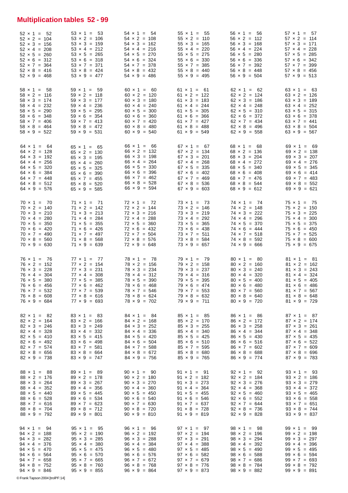# **Multiplication tables 52 - 99**

| $57 \times 1 = 57$  | $63 \times 1 = 63$  | 69 × 1 = 69         | $75 \times 1 = 75$  | $81 \times 1 = 81$  | $87 \times 1 = 87$  | $93 \times 1 = 93$  | $99 \times 1 = 99$  |
|---------------------|---------------------|---------------------|---------------------|---------------------|---------------------|---------------------|---------------------|
| $57 \times 2 = 114$ | $63 \times 2 = 126$ | $69 \times 2 = 138$ | $75 \times 2 = 150$ | $81 \times 2 = 162$ | $87 \times 2 = 174$ | $93 \times 2 = 186$ | $99 \times 2 = 198$ |
| $57 \times 3 = 171$ | $63 \times 3 = 189$ | $69 \times 3 = 207$ | $75 \times 3 = 225$ | $81 \times 3 = 243$ | $87 \times 3 = 261$ | $93 \times 3 = 279$ | $99 \times 3 = 297$ |
| $57 \times 4 = 228$ | $63 \times 4 = 252$ | $69 \times 4 = 276$ | $75 \times 4 = 300$ | $81 \times 4 = 324$ | $87 \times 4 = 348$ | $93 \times 4 = 372$ | $99 \times 4 = 396$ |
| $57 \times 5 = 285$ | $63 \times 5 = 315$ | $69 \times 5 = 345$ | $75 \times 5 = 375$ | $81 \times 5 = 405$ | $87 \times 5 = 435$ | $93 \times 5 = 465$ | $99 \times 5 = 495$ |
| $57 \times 6 = 342$ | $63 \times 6 = 378$ | $69 \times 6 = 414$ | $75 \times 6 = 450$ | $81 \times 6 = 486$ | $87 \times 6 = 522$ | $93 \times 6 = 558$ | $99 \times 6 = 594$ |
| $57 \times 7 = 399$ | $63 \times 7 = 441$ | $69 \times 7 = 483$ | $75 \times 7 = 525$ | $81 \times 7 = 567$ | $87 \times 7 = 609$ | $93 \times 7 = 651$ | $99 \times 7 = 693$ |
| $57 \times 8 = 456$ | $63 \times 8 = 504$ | $69 \times 8 = 552$ | $75 \times 8 = 600$ | $81 \times 8 = 648$ | $87 \times 8 = 696$ | $93 \times 8 = 744$ | $99 \times 8 = 792$ |
| $57 \times 9 = 513$ | $63 \times 9 = 567$ | $69 \times 9 = 621$ | $75 \times 9 = 675$ | $81 \times 9 = 729$ | $87 \times 9 = 783$ | $93 \times 9 = 837$ | $99 \times 9 = 891$ |
| $56 \times 1 = 56$  | $62 \times 1 = 62$  | $68 \times 1 = 68$  | $74 \times 1 = 74$  | $80 \times 1 = 80$  | $86 \times 1 = 86$  | $92 \times 1 = 92$  | $98 \times 1 = 98$  |
| $56 \times 2 = 112$ | $62 \times 2 = 124$ | $68 \times 2 = 136$ | $74 \times 2 = 148$ | $80 \times 2 = 160$ | $86 \times 2 = 172$ | $92 \times 2 = 184$ | $98 \times 2 = 196$ |
| $56 \times 3 = 168$ | $62 \times 3 = 186$ | $68 \times 3 = 204$ | $74 \times 3 = 222$ | $80 \times 3 = 240$ | $86 \times 3 = 258$ | $92 \times 3 = 276$ | $98 \times 3 = 294$ |
| $56 \times 4 = 224$ | $62 \times 4 = 248$ | $68 \times 4 = 272$ | $74 \times 4 = 296$ | $80 \times 4 = 320$ | $86 \times 4 = 344$ | $92 \times 4 = 368$ | $98 \times 4 = 392$ |
| $56 \times 5 = 280$ | $62 \times 5 = 310$ | $68 \times 5 = 340$ | $74 \times 5 = 370$ | $80 \times 5 = 400$ | $86 \times 5 = 430$ | $92 \times 5 = 460$ | $98 \times 5 = 490$ |
| $56 \times 6 = 336$ | $62 \times 6 = 372$ | $68 \times 6 = 408$ | $74 \times 6 = 444$ | $80 \times 6 = 480$ | $86 \times 6 = 516$ | $92 \times 6 = 552$ | $98 \times 6 = 588$ |
| $56 \times 7 = 392$ | $62 \times 7 = 434$ | $68 \times 7 = 476$ | $74 \times 7 = 518$ | $80 \times 7 = 560$ | $86 \times 7 = 602$ | $92 \times 7 = 644$ | $98 \times 7 = 686$ |
| $56 \times 8 = 448$ | $62 \times 8 = 496$ | $68 \times 8 = 544$ | $74 \times 8 = 592$ | $80 \times 8 = 640$ | $86 \times 8 = 688$ | $92 \times 8 = 736$ | $98 \times 8 = 784$ |
| $56 \times 9 = 504$ | $62 \times 9 = 558$ | $68 \times 9 = 612$ | $74 \times 9 = 666$ | $80 \times 9 = 720$ | $86 \times 9 = 774$ | $92 \times 9 = 828$ | $98 \times 9 = 882$ |
| $55 \times 1 = 55$  | $61 \times 1 = 61$  | $67 \times 1 = 67$  | $73 \times 1 = 73$  | $79 \times 1 = 79$  | $85 \times 1 = 85$  | $91 \times 1 = 91$  | $97 \times 1 = 97$  |
| $55 \times 2 = 110$ | $61 \times 2 = 122$ | $67 \times 2 = 134$ | $73 \times 2 = 146$ | $79 \times 2 = 158$ | $85 \times 2 = 170$ | $91 \times 2 = 182$ | $97 \times 2 = 194$ |
| $55 \times 3 = 165$ | $61 \times 3 = 183$ | $67 \times 3 = 201$ | $73 \times 3 = 219$ | $79 \times 3 = 237$ | $85 \times 3 = 255$ | $91 \times 3 = 273$ | $97 \times 3 = 291$ |
| $55 \times 4 = 220$ | $61 \times 4 = 244$ | $67 \times 4 = 268$ | $73 \times 4 = 292$ | $79 \times 4 = 316$ | $85 \times 4 = 340$ | $91 \times 4 = 364$ | $97 \times 4 = 388$ |
| $55 \times 5 = 275$ | $61 \times 5 = 305$ | $67 \times 5 = 335$ | $73 \times 5 = 365$ | $79 \times 5 = 395$ | $85 \times 5 = 425$ | $91 \times 5 = 455$ | $97 \times 5 = 485$ |
| $55 \times 6 = 330$ | $61 \times 6 = 366$ | $67 \times 6 = 402$ | $73 \times 6 = 438$ | $79 \times 6 = 474$ | $85 \times 6 = 510$ | $91 \times 6 = 546$ | $97 \times 6 = 582$ |
| $55 \times 7 = 385$ | $61 \times 7 = 427$ | $67 \times 7 = 469$ | $73 \times 7 = 511$ | $79 \times 7 = 553$ | $85 \times 7 = 595$ | $91 \times 7 = 637$ | $97 \times 7 = 679$ |
| $55 \times 8 = 440$ | $61 \times 8 = 488$ | $67 \times 8 = 536$ | $73 \times 8 = 584$ | $79 \times 8 = 632$ | $85 \times 8 = 680$ | $91 \times 8 = 728$ | $97 \times 8 = 776$ |
| $55 \times 9 = 495$ | $61 \times 9 = 549$ | $67 \times 9 = 603$ | $73 \times 9 = 657$ | $79 \times 9 = 711$ | $85 \times 9 = 765$ | $91 \times 9 = 819$ | $97 \times 9 = 873$ |
| $54 \times 1 = 54$  | $60 \times 1 = 60$  | $66 \times 1 = 66$  | $72 \times 1 = 72$  | $78 \times 1 = 78$  | $84 \times 1 = 84$  | $90 \times 1 = 90$  | $96 \times 1 = 96$  |
| $54 \times 2 = 108$ | $60 \times 2 = 120$ | $66 \times 2 = 132$ | $72 \times 2 = 144$ | $78 \times 2 = 156$ | $84 \times 2 = 168$ | $90 \times 2 = 180$ | $96 \times 2 = 192$ |
| $54 \times 3 = 162$ | $60 \times 3 = 180$ | $66 \times 3 = 198$ | $72 \times 3 = 216$ | $78 \times 3 = 234$ | $84 \times 3 = 252$ | $90 \times 3 = 270$ | $96 \times 3 = 288$ |
| $54 \times 4 = 216$ | $60 \times 4 = 240$ | $66 \times 4 = 264$ | $72 \times 4 = 288$ | $78 \times 4 = 312$ | $84 \times 4 = 336$ | $90 \times 4 = 360$ | $96 \times 4 = 384$ |
| $54 \times 5 = 270$ | $60 \times 5 = 300$ | $66 \times 5 = 330$ | $72 \times 5 = 360$ | $78 \times 5 = 390$ | $84 \times 5 = 420$ | $90 \times 5 = 450$ | $96 \times 5 = 480$ |
| $54 \times 6 = 324$ | $60 \times 6 = 360$ | $66 \times 6 = 396$ | $72 \times 6 = 432$ | $78 \times 6 = 468$ | $84 \times 6 = 504$ | $90 \times 6 = 540$ | $96 \times 6 = 576$ |
| $54 \times 7 = 378$ | $60 \times 7 = 420$ | $66 \times 7 = 462$ | $72 \times 7 = 504$ | $78 \times 7 = 546$ | $84 \times 7 = 588$ | $90 \times 7 = 630$ | $96 \times 7 = 672$ |
| $54 \times 8 = 432$ | $60 \times 8 = 480$ | $66 \times 8 = 528$ | $72 \times 8 = 576$ | $78 \times 8 = 624$ | $84 \times 8 = 672$ | $90 \times 8 = 720$ | $96 \times 8 = 768$ |
| $54 \times 9 = 486$ | $60 \times 9 = 540$ | $66 \times 9 = 594$ | $72 \times 9 = 648$ | $78 \times 9 = 702$ | $84 \times 9 = 756$ | $90 \times 9 = 810$ | $96 \times 9 = 864$ |
| $53 \times 1 = 53$  | $59 \times 1 = 59$  | $65 \times 1 = 65$  | $71 \times 1 = 71$  | $77 \times 1 = 77$  | $83 \times 1 = 83$  | $89 \times 1 = 89$  | $95 \times 1 = 95$  |
| $53 \times 2 = 106$ | $59 \times 2 = 118$ | $65 \times 2 = 130$ | $71 \times 2 = 142$ | $77 \times 2 = 154$ | $83 \times 2 = 166$ | $89 \times 2 = 178$ | $95 \times 2 = 190$ |
| $53 \times 3 = 159$ | $59 \times 3 = 177$ | $65 \times 3 = 195$ | $71 \times 3 = 213$ | $77 \times 3 = 231$ | $83 \times 3 = 249$ | $89 \times 3 = 267$ | $95 \times 3 = 285$ |
| $53 \times 4 = 212$ | $59 \times 4 = 236$ | $65 \times 4 = 260$ | $71 \times 4 = 284$ | $77 \times 4 = 308$ | $83 \times 4 = 332$ | $89 \times 4 = 356$ | $95 \times 4 = 380$ |
| $53 \times 5 = 265$ | $59 \times 5 = 295$ | $65 \times 5 = 325$ | $71 \times 5 = 355$ | $77 \times 5 = 385$ | $83 \times 5 = 415$ | $89 \times 5 = 445$ | $95 \times 5 = 475$ |
| $53 \times 6 = 318$ | $59 \times 6 = 354$ | $65 \times 6 = 390$ | $71 \times 6 = 426$ | $77 \times 6 = 462$ | $83 \times 6 = 498$ | $89 \times 6 = 534$ | $95 \times 6 = 570$ |
| $53 \times 7 = 371$ | $59 \times 7 = 413$ | $65 \times 7 = 455$ | $71 \times 7 = 497$ | $77 \times 7 = 539$ | $83 \times 7 = 581$ | $89 \times 7 = 623$ | $95 \times 7 = 665$ |
| $53 \times 8 = 424$ | $59 \times 8 = 472$ | $65 \times 8 = 520$ | $71 \times 8 = 568$ | $77 \times 8 = 616$ | $83 \times 8 = 664$ | $89 \times 8 = 712$ | $95 \times 8 = 760$ |
| $53 \times 9 = 477$ | $59 \times 9 = 531$ | $65 \times 9 = 585$ | $71 \times 9 = 639$ | $77 \times 9 = 693$ | $83 \times 9 = 747$ | $89 \times 9 = 801$ | $95 \times 9 = 855$ |
| $52 \times 1 = 52$  | $58 \times 1 = 58$  | $64 \times 1 = 64$  | $70 \times 1 = 70$  | $76 \times 1 = 76$  | $82 \times 1 = 82$  | $88 \times 1 = 88$  | $94 \times 1 = 94$  |
| $52 \times 2 = 104$ | $58 \times 2 = 116$ | $64 \times 2 = 128$ | $70 \times 2 = 140$ | $76 \times 2 = 152$ | $82 \times 2 = 164$ | $88 \times 2 = 176$ | $94 \times 2 = 188$ |
| $52 \times 3 = 156$ | $58 \times 3 = 174$ | $64 \times 3 = 192$ | $70 \times 3 = 210$ | $76 \times 3 = 228$ | $82 \times 3 = 246$ | $88 \times 3 = 264$ | $94 \times 3 = 282$ |
| $52 \times 4 = 208$ | $58 \times 4 = 232$ | $64 \times 4 = 256$ | $70 \times 4 = 280$ | $76 \times 4 = 304$ | $82 \times 4 = 328$ | $88 \times 4 = 352$ | $94 \times 4 = 376$ |
| $52 \times 5 = 260$ | $58 \times 5 = 290$ | $64 \times 5 = 320$ | $70 \times 5 = 350$ | $76 \times 5 = 380$ | $82 \times 5 = 410$ | $88 \times 5 = 440$ | $94 \times 5 = 470$ |
| $52 \times 6 = 312$ | $58 \times 6 = 348$ | $64 \times 6 = 384$ | $70 \times 6 = 420$ | $76 \times 6 = 456$ | $82 \times 6 = 492$ | $88 \times 6 = 528$ | $94 \times 6 = 564$ |
| $52 \times 7 = 364$ | $58 \times 7 = 406$ | $64 \times 7 = 448$ | $70 \times 7 = 490$ | $76 \times 7 = 532$ | $82 \times 7 = 574$ | $88 \times 7 = 616$ | $94 \times 7 = 658$ |
| $52 \times 8 = 416$ | $58 \times 8 = 464$ | $64 \times 8 = 512$ | $70 \times 8 = 560$ | $76 \times 8 = 608$ | $82 \times 8 = 656$ | $88 \times 8 = 704$ | $94 \times 8 = 752$ |
| $52 \times 9 = 468$ | $58 \times 9 = 522$ | $64 \times 9 = 576$ | $70 \times 9 = 630$ | $76 \times 9 = 684$ | $82 \times 9 = 738$ | $88 \times 9 = 792$ | $94 \times 9 = 846$ |